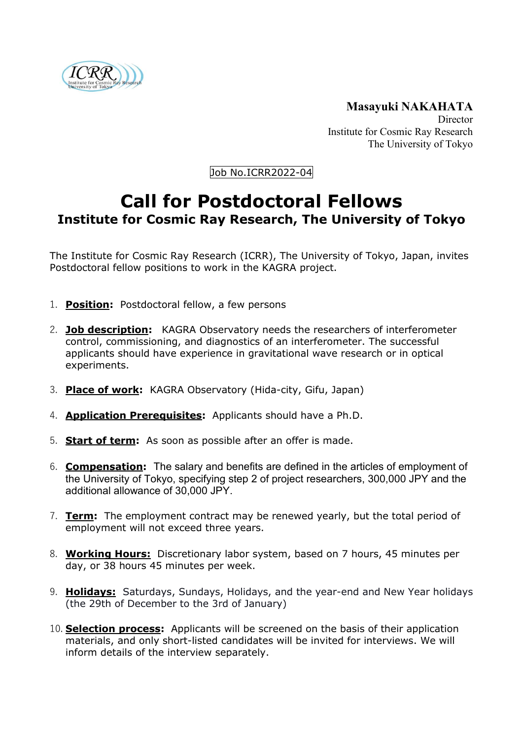

**Masayuki NAKAHATA** Director Institute for Cosmic Ray Research The University of Tokyo

Job No.ICRR2022-04

## **Call for Postdoctoral Fellows Institute for Cosmic Ray Research, The University of Tokyo**

The Institute for Cosmic Ray Research (ICRR), The University of Tokyo, Japan, invites Postdoctoral fellow positions to work in the KAGRA project.

- 1. **Position:** Postdoctoral fellow, a few persons
- 2. **Job description:** KAGRA Observatory needs the researchers of interferometer control, commissioning, and diagnostics of an interferometer. The successful applicants should have experience in gravitational wave research or in optical experiments.
- 3. **Place of work:** KAGRA Observatory (Hida-city, Gifu, Japan)
- 4. **Application Prerequisites:** Applicants should have a Ph.D.
- 5. **Start of term:** As soon as possible after an offer is made.
- 6. **Compensation:** The salary and benefits are defined in the articles of employment of the University of Tokyo, specifying step 2 of project researchers, 300,000 JPY and the additional allowance of 30,000 JPY.
- 7. **Term:** The employment contract may be renewed yearly, but the total period of employment will not exceed three years.
- 8. **Working Hours:** Discretionary labor system, based on 7 hours, 45 minutes per day, or 38 hours 45 minutes per week.
- 9. **Holidays:** Saturdays, Sundays, Holidays, and the year-end and New Year holidays (the 29th of December to the 3rd of January)
- 10. **Selection process:** Applicants will be screened on the basis of their application materials, and only short-listed candidates will be invited for interviews. We will inform details of the interview separately.